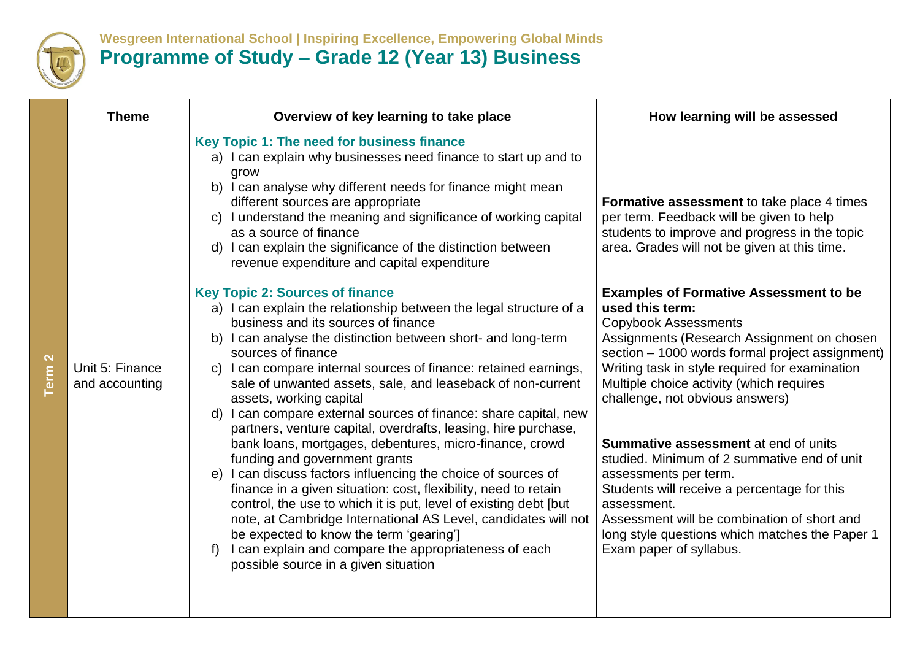

## **Wesgreen International School | Inspiring Excellence, Empowering Global Minds Programme of Study – Grade 12 (Year 13) Business**

| <b>Theme</b>                      | Overview of key learning to take place                                                                                                                                                                                                                                                                                                                                                                                                                                                                                                                                                                                                                                                                                                                                                                                                                                                                                                                                                                                                                                                                                                                                                                                                                                                                                                                           | How learning will be assessed                                                                                                                                                                                                                                                                                                                                                                                                                                                                                                                                                                                                                                                                                                                                    |
|-----------------------------------|------------------------------------------------------------------------------------------------------------------------------------------------------------------------------------------------------------------------------------------------------------------------------------------------------------------------------------------------------------------------------------------------------------------------------------------------------------------------------------------------------------------------------------------------------------------------------------------------------------------------------------------------------------------------------------------------------------------------------------------------------------------------------------------------------------------------------------------------------------------------------------------------------------------------------------------------------------------------------------------------------------------------------------------------------------------------------------------------------------------------------------------------------------------------------------------------------------------------------------------------------------------------------------------------------------------------------------------------------------------|------------------------------------------------------------------------------------------------------------------------------------------------------------------------------------------------------------------------------------------------------------------------------------------------------------------------------------------------------------------------------------------------------------------------------------------------------------------------------------------------------------------------------------------------------------------------------------------------------------------------------------------------------------------------------------------------------------------------------------------------------------------|
| Unit 5: Finance<br>and accounting | Key Topic 1: The need for business finance<br>a) I can explain why businesses need finance to start up and to<br>grow<br>b) I can analyse why different needs for finance might mean<br>different sources are appropriate<br>c) I understand the meaning and significance of working capital<br>as a source of finance<br>d) I can explain the significance of the distinction between<br>revenue expenditure and capital expenditure<br><b>Key Topic 2: Sources of finance</b><br>a) I can explain the relationship between the legal structure of a<br>business and its sources of finance<br>b) I can analyse the distinction between short- and long-term<br>sources of finance<br>c) I can compare internal sources of finance: retained earnings,<br>sale of unwanted assets, sale, and leaseback of non-current<br>assets, working capital<br>d) I can compare external sources of finance: share capital, new<br>partners, venture capital, overdrafts, leasing, hire purchase,<br>bank loans, mortgages, debentures, micro-finance, crowd<br>funding and government grants<br>I can discuss factors influencing the choice of sources of<br>e)<br>finance in a given situation: cost, flexibility, need to retain<br>control, the use to which it is put, level of existing debt [but<br>note, at Cambridge International AS Level, candidates will not | Formative assessment to take place 4 times<br>per term. Feedback will be given to help<br>students to improve and progress in the topic<br>area. Grades will not be given at this time.<br><b>Examples of Formative Assessment to be</b><br>used this term:<br><b>Copybook Assessments</b><br>Assignments (Research Assignment on chosen<br>section - 1000 words formal project assignment)<br>Writing task in style required for examination<br>Multiple choice activity (which requires<br>challenge, not obvious answers)<br><b>Summative assessment</b> at end of units<br>studied. Minimum of 2 summative end of unit<br>assessments per term.<br>Students will receive a percentage for this<br>assessment.<br>Assessment will be combination of short and |
|                                   | be expected to know the term 'gearing']<br>I can explain and compare the appropriateness of each<br>possible source in a given situation                                                                                                                                                                                                                                                                                                                                                                                                                                                                                                                                                                                                                                                                                                                                                                                                                                                                                                                                                                                                                                                                                                                                                                                                                         | long style questions which matches the Paper 1<br>Exam paper of syllabus.                                                                                                                                                                                                                                                                                                                                                                                                                                                                                                                                                                                                                                                                                        |
|                                   |                                                                                                                                                                                                                                                                                                                                                                                                                                                                                                                                                                                                                                                                                                                                                                                                                                                                                                                                                                                                                                                                                                                                                                                                                                                                                                                                                                  |                                                                                                                                                                                                                                                                                                                                                                                                                                                                                                                                                                                                                                                                                                                                                                  |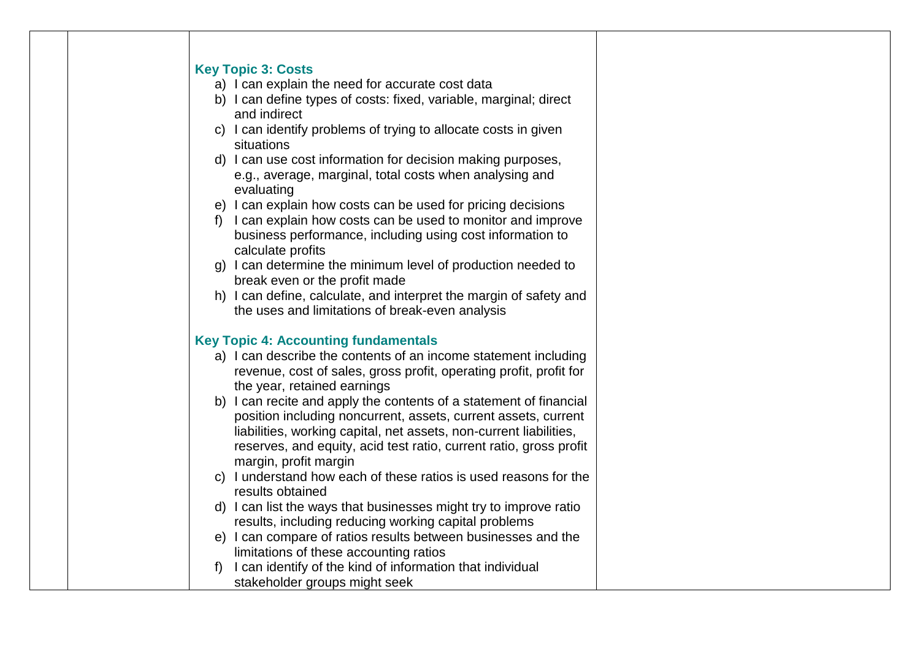| <b>Key Topic 3: Costs</b> |                                                                                                                                              |
|---------------------------|----------------------------------------------------------------------------------------------------------------------------------------------|
|                           | a) I can explain the need for accurate cost data                                                                                             |
|                           | b) I can define types of costs: fixed, variable, marginal; direct                                                                            |
|                           | and indirect                                                                                                                                 |
|                           | c) I can identify problems of trying to allocate costs in given<br>situations                                                                |
|                           | d) I can use cost information for decision making purposes,                                                                                  |
|                           | e.g., average, marginal, total costs when analysing and<br>evaluating                                                                        |
|                           | e) I can explain how costs can be used for pricing decisions                                                                                 |
| $f$ )                     | I can explain how costs can be used to monitor and improve<br>business performance, including using cost information to<br>calculate profits |
|                           | g) I can determine the minimum level of production needed to                                                                                 |
|                           | break even or the profit made                                                                                                                |
|                           | h) I can define, calculate, and interpret the margin of safety and                                                                           |
|                           | the uses and limitations of break-even analysis                                                                                              |
|                           | <b>Key Topic 4: Accounting fundamentals</b>                                                                                                  |
|                           | a) I can describe the contents of an income statement including                                                                              |
|                           | revenue, cost of sales, gross profit, operating profit, profit for                                                                           |
|                           | the year, retained earnings                                                                                                                  |
|                           | b) I can recite and apply the contents of a statement of financial                                                                           |
|                           | position including noncurrent, assets, current assets, current                                                                               |
|                           | liabilities, working capital, net assets, non-current liabilities,                                                                           |
|                           | reserves, and equity, acid test ratio, current ratio, gross profit                                                                           |
|                           | margin, profit margin                                                                                                                        |
|                           | c) I understand how each of these ratios is used reasons for the                                                                             |
|                           | results obtained                                                                                                                             |
|                           | d) I can list the ways that businesses might try to improve ratio                                                                            |
|                           | results, including reducing working capital problems                                                                                         |
|                           | e) I can compare of ratios results between businesses and the                                                                                |
|                           | limitations of these accounting ratios                                                                                                       |
| f)                        | I can identify of the kind of information that individual                                                                                    |
|                           | stakeholder groups might seek                                                                                                                |